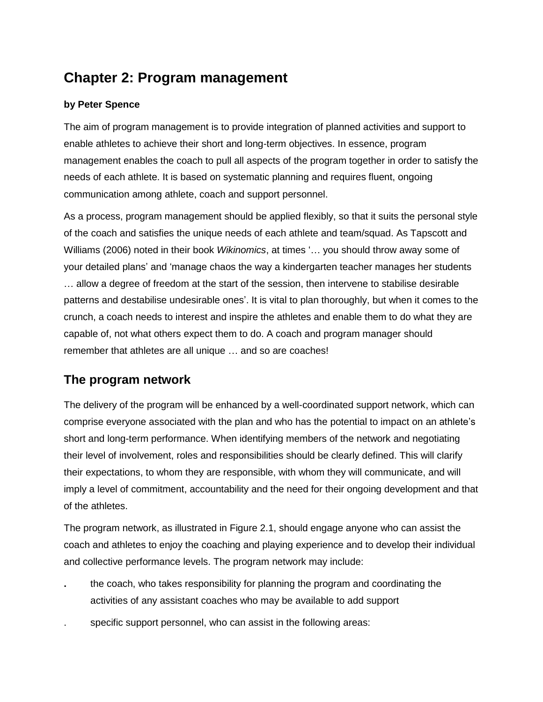# **Chapter 2: Program management**

### **by Peter Spence**

The aim of program management is to provide integration of planned activities and support to enable athletes to achieve their short and long-term objectives. In essence, program management enables the coach to pull all aspects of the program together in order to satisfy the needs of each athlete. It is based on systematic planning and requires fluent, ongoing communication among athlete, coach and support personnel.

As a process, program management should be applied flexibly, so that it suits the personal style of the coach and satisfies the unique needs of each athlete and team/squad. As Tapscott and Williams (2006) noted in their book *Wikinomics*, at times '… you should throw away some of your detailed plans' and 'manage chaos the way a kindergarten teacher manages her students … allow a degree of freedom at the start of the session, then intervene to stabilise desirable patterns and destabilise undesirable ones'. It is vital to plan thoroughly, but when it comes to the crunch, a coach needs to interest and inspire the athletes and enable them to do what they are capable of, not what others expect them to do. A coach and program manager should remember that athletes are all unique … and so are coaches!

## **The program network**

The delivery of the program will be enhanced by a well-coordinated support network, which can comprise everyone associated with the plan and who has the potential to impact on an athlete's short and long-term performance. When identifying members of the network and negotiating their level of involvement, roles and responsibilities should be clearly defined. This will clarify their expectations, to whom they are responsible, with whom they will communicate, and will imply a level of commitment, accountability and the need for their ongoing development and that of the athletes.

The program network, as illustrated in Figure 2.1, should engage anyone who can assist the coach and athletes to enjoy the coaching and playing experience and to develop their individual and collective performance levels. The program network may include:

- **.** the coach, who takes responsibility for planning the program and coordinating the activities of any assistant coaches who may be available to add support
- . specific support personnel, who can assist in the following areas: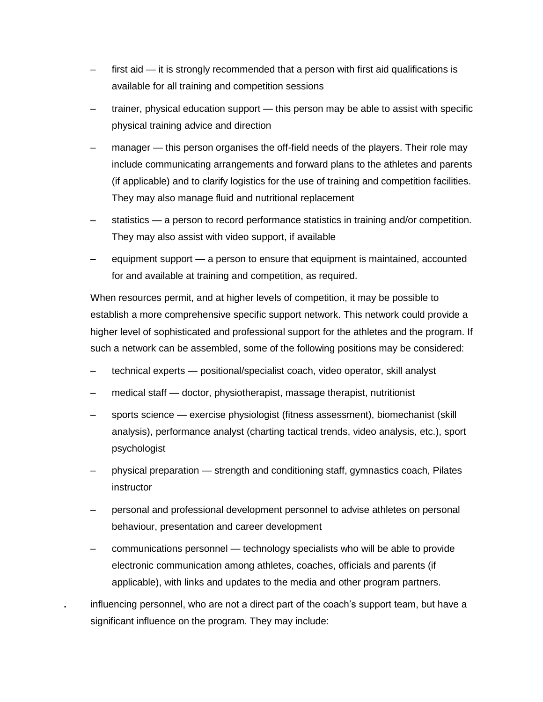- first aid it is strongly recommended that a person with first aid qualifications is available for all training and competition sessions
- trainer, physical education support this person may be able to assist with specific physical training advice and direction
- manager this person organises the off-field needs of the players. Their role may include communicating arrangements and forward plans to the athletes and parents (if applicable) and to clarify logistics for the use of training and competition facilities. They may also manage fluid and nutritional replacement
- statistics a person to record performance statistics in training and/or competition. They may also assist with video support, if available
- equipment support a person to ensure that equipment is maintained, accounted for and available at training and competition, as required.

When resources permit, and at higher levels of competition, it may be possible to establish a more comprehensive specific support network. This network could provide a higher level of sophisticated and professional support for the athletes and the program. If such a network can be assembled, some of the following positions may be considered:

- technical experts positional/specialist coach, video operator, skill analyst
- medical staff doctor, physiotherapist, massage therapist, nutritionist
- sports science exercise physiologist (fitness assessment), biomechanist (skill analysis), performance analyst (charting tactical trends, video analysis, etc.), sport psychologist
- physical preparation strength and conditioning staff, gymnastics coach, Pilates instructor
- personal and professional development personnel to advise athletes on personal behaviour, presentation and career development
- communications personnel technology specialists who will be able to provide electronic communication among athletes, coaches, officials and parents (if applicable), with links and updates to the media and other program partners.
- **.** influencing personnel, who are not a direct part of the coach's support team, but have a significant influence on the program. They may include: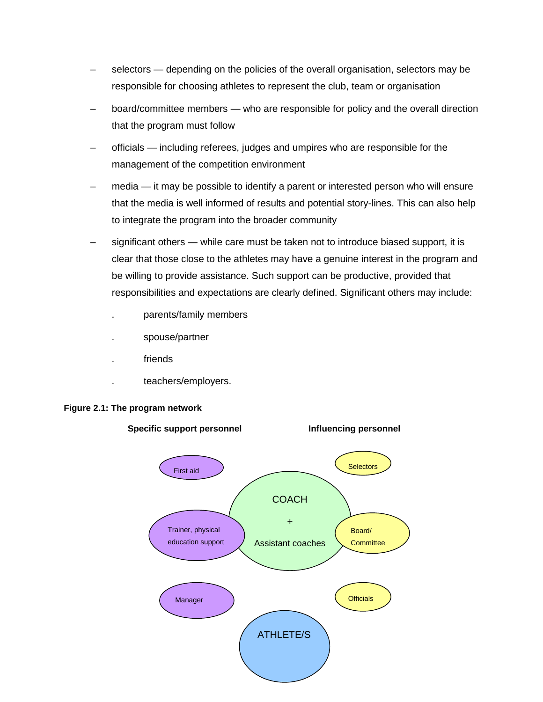- selectors depending on the policies of the overall organisation, selectors may be responsible for choosing athletes to represent the club, team or organisation
- board/committee members who are responsible for policy and the overall direction that the program must follow
- officials including referees, judges and umpires who are responsible for the management of the competition environment
- media it may be possible to identify a parent or interested person who will ensure that the media is well informed of results and potential story-lines. This can also help to integrate the program into the broader community
- significant others while care must be taken not to introduce biased support, it is clear that those close to the athletes may have a genuine interest in the program and be willing to provide assistance. Such support can be productive, provided that responsibilities and expectations are clearly defined. Significant others may include:
	- . parents/family members
	- . spouse/partner
	- . friends
	- . teachers/employers.



#### **Figure 2.1: The program network**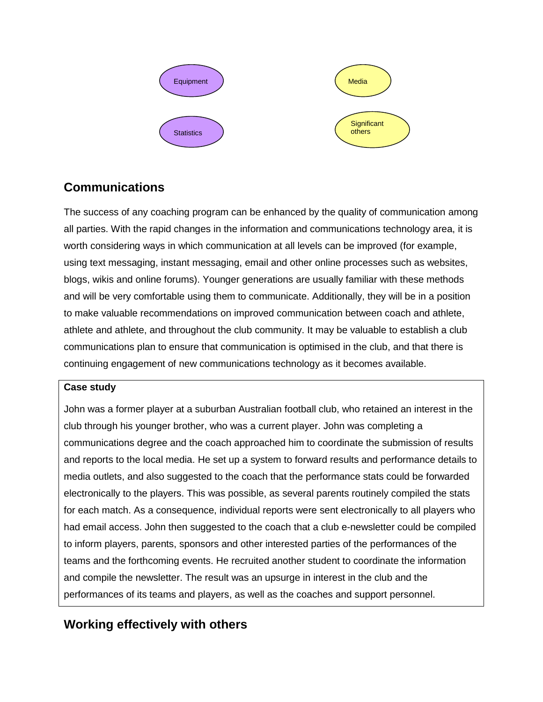

## **Communications**

The success of any coaching program can be enhanced by the quality of communication among all parties. With the rapid changes in the information and communications technology area, it is worth considering ways in which communication at all levels can be improved (for example, using text messaging, instant messaging, email and other online processes such as websites, blogs, wikis and online forums). Younger generations are usually familiar with these methods and will be very comfortable using them to communicate. Additionally, they will be in a position to make valuable recommendations on improved communication between coach and athlete, athlete and athlete, and throughout the club community. It may be valuable to establish a club communications plan to ensure that communication is optimised in the club, and that there is continuing engagement of new communications technology as it becomes available.

### **Case study**

John was a former player at a suburban Australian football club, who retained an interest in the club through his younger brother, who was a current player. John was completing a communications degree and the coach approached him to coordinate the submission of results and reports to the local media. He set up a system to forward results and performance details to media outlets, and also suggested to the coach that the performance stats could be forwarded electronically to the players. This was possible, as several parents routinely compiled the stats for each match. As a consequence, individual reports were sent electronically to all players who had email access. John then suggested to the coach that a club e-newsletter could be compiled to inform players, parents, sponsors and other interested parties of the performances of the teams and the forthcoming events. He recruited another student to coordinate the information and compile the newsletter. The result was an upsurge in interest in the club and the performances of its teams and players, as well as the coaches and support personnel.

# **Working effectively with others**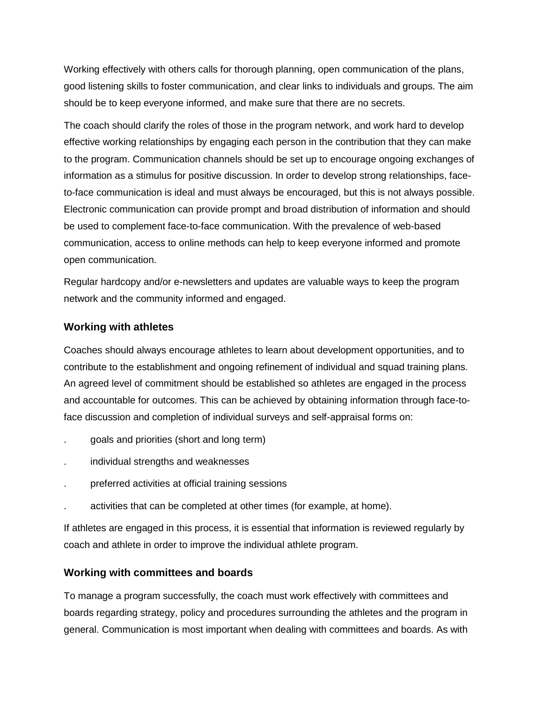Working effectively with others calls for thorough planning, open communication of the plans, good listening skills to foster communication, and clear links to individuals and groups. The aim should be to keep everyone informed, and make sure that there are no secrets.

The coach should clarify the roles of those in the program network, and work hard to develop effective working relationships by engaging each person in the contribution that they can make to the program. Communication channels should be set up to encourage ongoing exchanges of information as a stimulus for positive discussion. In order to develop strong relationships, faceto-face communication is ideal and must always be encouraged, but this is not always possible. Electronic communication can provide prompt and broad distribution of information and should be used to complement face-to-face communication. With the prevalence of web-based communication, access to online methods can help to keep everyone informed and promote open communication.

Regular hardcopy and/or e-newsletters and updates are valuable ways to keep the program network and the community informed and engaged.

#### **Working with athletes**

Coaches should always encourage athletes to learn about development opportunities, and to contribute to the establishment and ongoing refinement of individual and squad training plans. An agreed level of commitment should be established so athletes are engaged in the process and accountable for outcomes. This can be achieved by obtaining information through face-toface discussion and completion of individual surveys and self-appraisal forms on:

- . goals and priorities (short and long term)
- . individual strengths and weaknesses
- . preferred activities at official training sessions
- . activities that can be completed at other times (for example, at home).

If athletes are engaged in this process, it is essential that information is reviewed regularly by coach and athlete in order to improve the individual athlete program.

#### **Working with committees and boards**

To manage a program successfully, the coach must work effectively with committees and boards regarding strategy, policy and procedures surrounding the athletes and the program in general. Communication is most important when dealing with committees and boards. As with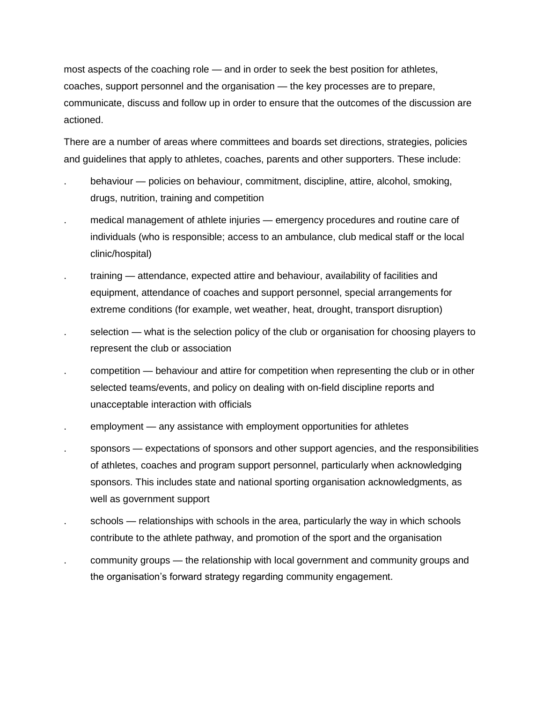most aspects of the coaching role — and in order to seek the best position for athletes, coaches, support personnel and the organisation — the key processes are to prepare, communicate, discuss and follow up in order to ensure that the outcomes of the discussion are actioned.

There are a number of areas where committees and boards set directions, strategies, policies and guidelines that apply to athletes, coaches, parents and other supporters. These include:

- . behaviour policies on behaviour, commitment, discipline, attire, alcohol, smoking, drugs, nutrition, training and competition
- . medical management of athlete injuries emergency procedures and routine care of individuals (who is responsible; access to an ambulance, club medical staff or the local clinic/hospital)
- . training attendance, expected attire and behaviour, availability of facilities and equipment, attendance of coaches and support personnel, special arrangements for extreme conditions (for example, wet weather, heat, drought, transport disruption)
- selection what is the selection policy of the club or organisation for choosing players to represent the club or association
- . competition behaviour and attire for competition when representing the club or in other selected teams/events, and policy on dealing with on-field discipline reports and unacceptable interaction with officials
- . employment any assistance with employment opportunities for athletes
- sponsors expectations of sponsors and other support agencies, and the responsibilities of athletes, coaches and program support personnel, particularly when acknowledging sponsors. This includes state and national sporting organisation acknowledgments, as well as government support
- schools relationships with schools in the area, particularly the way in which schools contribute to the athlete pathway, and promotion of the sport and the organisation
- . community groups the relationship with local government and community groups and the organisation's forward strategy regarding community engagement.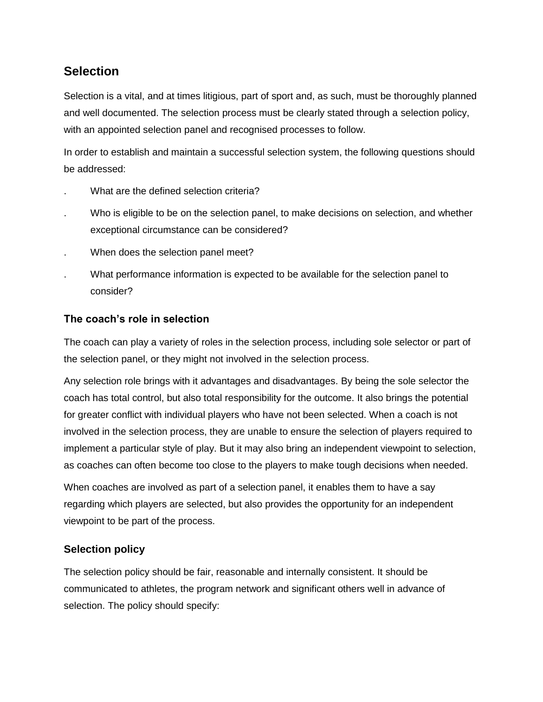## **Selection**

Selection is a vital, and at times litigious, part of sport and, as such, must be thoroughly planned and well documented. The selection process must be clearly stated through a selection policy, with an appointed selection panel and recognised processes to follow.

In order to establish and maintain a successful selection system, the following questions should be addressed:

- . What are the defined selection criteria?
- . Who is eligible to be on the selection panel, to make decisions on selection, and whether exceptional circumstance can be considered?
- . When does the selection panel meet?
- . What performance information is expected to be available for the selection panel to consider?

### **The coach's role in selection**

The coach can play a variety of roles in the selection process, including sole selector or part of the selection panel, or they might not involved in the selection process.

Any selection role brings with it advantages and disadvantages. By being the sole selector the coach has total control, but also total responsibility for the outcome. It also brings the potential for greater conflict with individual players who have not been selected. When a coach is not involved in the selection process, they are unable to ensure the selection of players required to implement a particular style of play. But it may also bring an independent viewpoint to selection, as coaches can often become too close to the players to make tough decisions when needed.

When coaches are involved as part of a selection panel, it enables them to have a say regarding which players are selected, but also provides the opportunity for an independent viewpoint to be part of the process.

## **Selection policy**

The selection policy should be fair, reasonable and internally consistent. It should be communicated to athletes, the program network and significant others well in advance of selection. The policy should specify: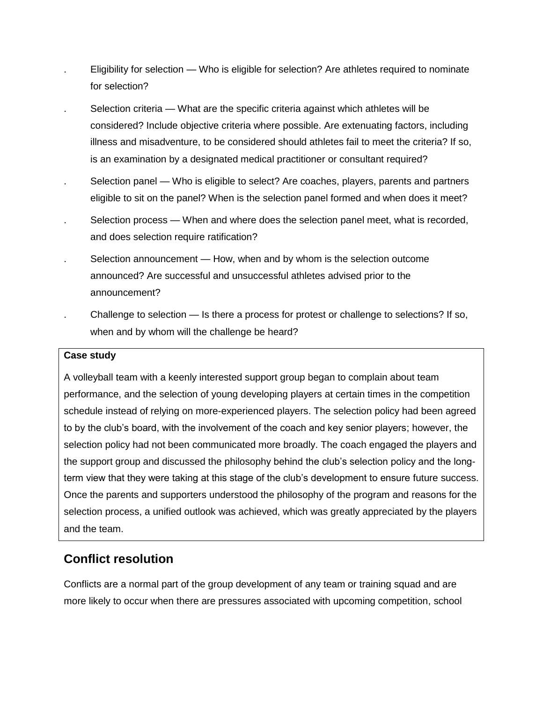- . Eligibility for selection Who is eligible for selection? Are athletes required to nominate for selection?
- . Selection criteria What are the specific criteria against which athletes will be considered? Include objective criteria where possible. Are extenuating factors, including illness and misadventure, to be considered should athletes fail to meet the criteria? If so, is an examination by a designated medical practitioner or consultant required?
- Selection panel Who is eligible to select? Are coaches, players, parents and partners eligible to sit on the panel? When is the selection panel formed and when does it meet?
- . Selection process When and where does the selection panel meet, what is recorded, and does selection require ratification?
- . Selection announcement How, when and by whom is the selection outcome announced? Are successful and unsuccessful athletes advised prior to the announcement?
- . Challenge to selection Is there a process for protest or challenge to selections? If so, when and by whom will the challenge be heard?

#### **Case study**

A volleyball team with a keenly interested support group began to complain about team performance, and the selection of young developing players at certain times in the competition schedule instead of relying on more-experienced players. The selection policy had been agreed to by the club's board, with the involvement of the coach and key senior players; however, the selection policy had not been communicated more broadly. The coach engaged the players and the support group and discussed the philosophy behind the club's selection policy and the longterm view that they were taking at this stage of the club's development to ensure future success. Once the parents and supporters understood the philosophy of the program and reasons for the selection process, a unified outlook was achieved, which was greatly appreciated by the players and the team.

## **Conflict resolution**

Conflicts are a normal part of the group development of any team or training squad and are more likely to occur when there are pressures associated with upcoming competition, school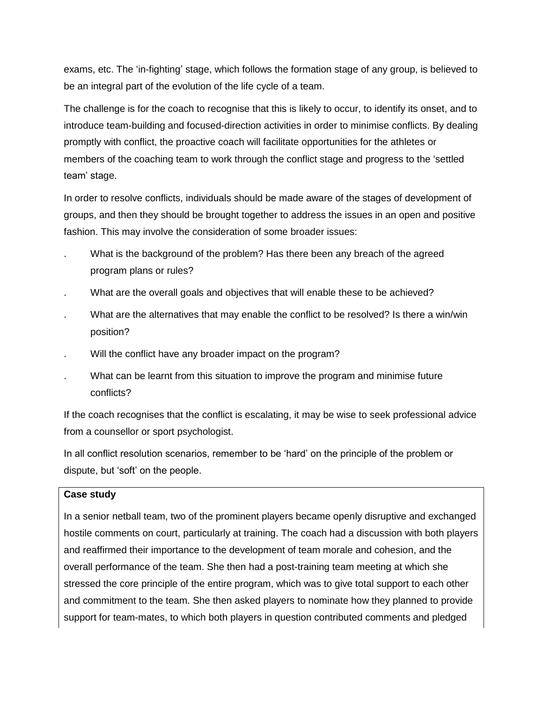exams, etc. The 'in-fighting' stage, which follows the formation stage of any group, is believed to be an integral part of the evolution of the life cycle of a team.

The challenge is for the coach to recognise that this is likely to occur, to identify its onset, and to introduce team-building and focused-direction activities in order to minimise conflicts. By dealing promptly with conflict, the proactive coach will facilitate opportunities for the athletes or members of the coaching team to work through the conflict stage and progress to the 'settled team' stage.

In order to resolve conflicts, individuals should be made aware of the stages of development of groups, and then they should be brought together to address the issues in an open and positive fashion. This may involve the consideration of some broader issues:

- What is the background of the problem? Has there been any breach of the agreed program plans or rules?
- . What are the overall goals and objectives that will enable these to be achieved?
- What are the alternatives that may enable the conflict to be resolved? Is there a win/win position?
- . Will the conflict have any broader impact on the program?
- . What can be learnt from this situation to improve the program and minimise future conflicts?

If the coach recognises that the conflict is escalating, it may be wise to seek professional advice from a counsellor or sport psychologist.

In all conflict resolution scenarios, remember to be 'hard' on the principle of the problem or dispute, but 'soft' on the people.

#### **Case study**

In a senior netball team, two of the prominent players became openly disruptive and exchanged hostile comments on court, particularly at training. The coach had a discussion with both players and reaffirmed their importance to the development of team morale and cohesion, and the overall performance of the team. She then had a post-training team meeting at which she stressed the core principle of the entire program, which was to give total support to each other and commitment to the team. She then asked players to nominate how they planned to provide support for team-mates, to which both players in question contributed comments and pledged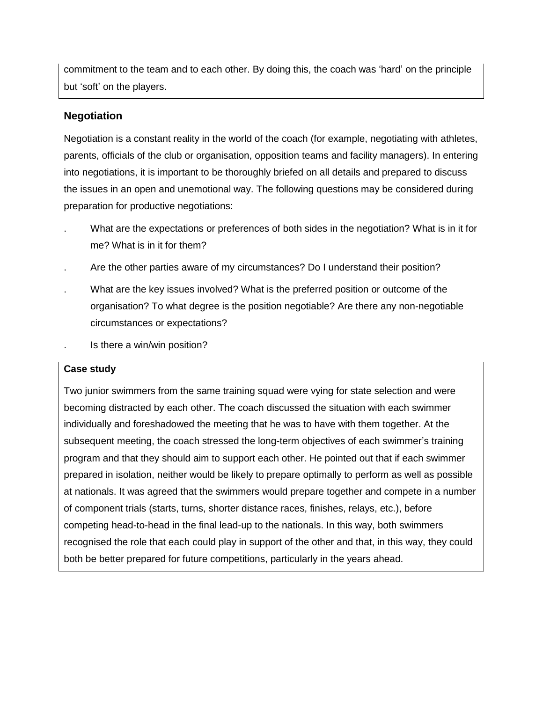commitment to the team and to each other. By doing this, the coach was 'hard' on the principle but 'soft' on the players.

### **Negotiation**

Negotiation is a constant reality in the world of the coach (for example, negotiating with athletes, parents, officials of the club or organisation, opposition teams and facility managers). In entering into negotiations, it is important to be thoroughly briefed on all details and prepared to discuss the issues in an open and unemotional way. The following questions may be considered during preparation for productive negotiations:

- What are the expectations or preferences of both sides in the negotiation? What is in it for me? What is in it for them?
- . Are the other parties aware of my circumstances? Do I understand their position?
- . What are the key issues involved? What is the preferred position or outcome of the organisation? To what degree is the position negotiable? Are there any non-negotiable circumstances or expectations?
- . Is there a win/win position?

### **Case study**

Two junior swimmers from the same training squad were vying for state selection and were becoming distracted by each other. The coach discussed the situation with each swimmer individually and foreshadowed the meeting that he was to have with them together. At the subsequent meeting, the coach stressed the long-term objectives of each swimmer's training program and that they should aim to support each other. He pointed out that if each swimmer prepared in isolation, neither would be likely to prepare optimally to perform as well as possible at nationals. It was agreed that the swimmers would prepare together and compete in a number of component trials (starts, turns, shorter distance races, finishes, relays, etc.), before competing head-to-head in the final lead-up to the nationals. In this way, both swimmers recognised the role that each could play in support of the other and that, in this way, they could both be better prepared for future competitions, particularly in the years ahead.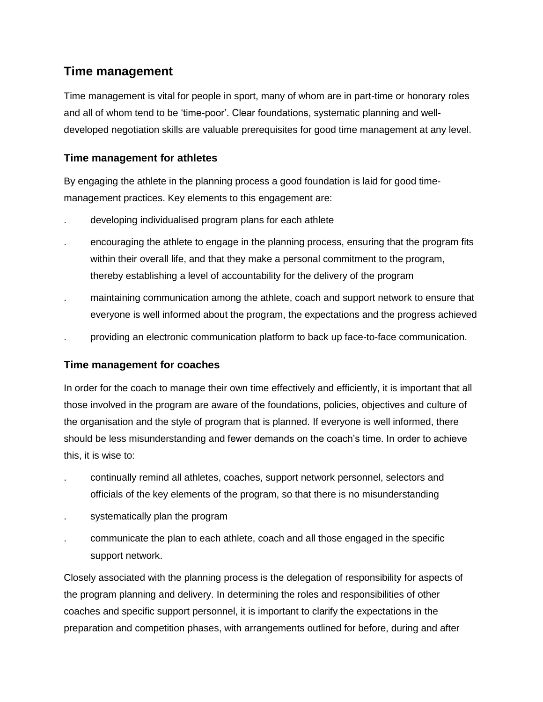## **Time management**

Time management is vital for people in sport, many of whom are in part-time or honorary roles and all of whom tend to be 'time-poor'. Clear foundations, systematic planning and welldeveloped negotiation skills are valuable prerequisites for good time management at any level.

## **Time management for athletes**

By engaging the athlete in the planning process a good foundation is laid for good timemanagement practices. Key elements to this engagement are:

- . developing individualised program plans for each athlete
- . encouraging the athlete to engage in the planning process, ensuring that the program fits within their overall life, and that they make a personal commitment to the program, thereby establishing a level of accountability for the delivery of the program
- . maintaining communication among the athlete, coach and support network to ensure that everyone is well informed about the program, the expectations and the progress achieved
- . providing an electronic communication platform to back up face-to-face communication.

## **Time management for coaches**

In order for the coach to manage their own time effectively and efficiently, it is important that all those involved in the program are aware of the foundations, policies, objectives and culture of the organisation and the style of program that is planned. If everyone is well informed, there should be less misunderstanding and fewer demands on the coach's time. In order to achieve this, it is wise to:

- . continually remind all athletes, coaches, support network personnel, selectors and officials of the key elements of the program, so that there is no misunderstanding
- systematically plan the program
- . communicate the plan to each athlete, coach and all those engaged in the specific support network.

Closely associated with the planning process is the delegation of responsibility for aspects of the program planning and delivery. In determining the roles and responsibilities of other coaches and specific support personnel, it is important to clarify the expectations in the preparation and competition phases, with arrangements outlined for before, during and after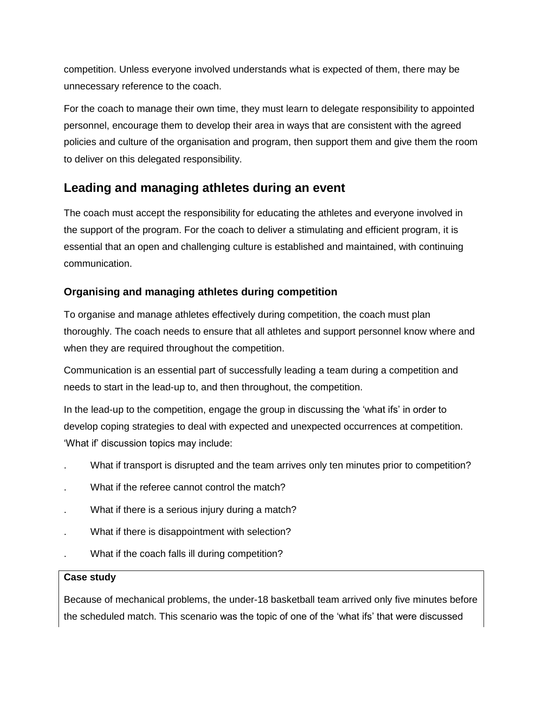competition. Unless everyone involved understands what is expected of them, there may be unnecessary reference to the coach.

For the coach to manage their own time, they must learn to delegate responsibility to appointed personnel, encourage them to develop their area in ways that are consistent with the agreed policies and culture of the organisation and program, then support them and give them the room to deliver on this delegated responsibility.

## **Leading and managing athletes during an event**

The coach must accept the responsibility for educating the athletes and everyone involved in the support of the program. For the coach to deliver a stimulating and efficient program, it is essential that an open and challenging culture is established and maintained, with continuing communication.

## **Organising and managing athletes during competition**

To organise and manage athletes effectively during competition, the coach must plan thoroughly. The coach needs to ensure that all athletes and support personnel know where and when they are required throughout the competition.

Communication is an essential part of successfully leading a team during a competition and needs to start in the lead-up to, and then throughout, the competition.

In the lead-up to the competition, engage the group in discussing the 'what ifs' in order to develop coping strategies to deal with expected and unexpected occurrences at competition. 'What if' discussion topics may include:

- . What if transport is disrupted and the team arrives only ten minutes prior to competition?
- What if the referee cannot control the match?
- What if there is a serious injury during a match?
- . What if there is disappointment with selection?
- . What if the coach falls ill during competition?

### **Case study**

Because of mechanical problems, the under-18 basketball team arrived only five minutes before the scheduled match. This scenario was the topic of one of the 'what ifs' that were discussed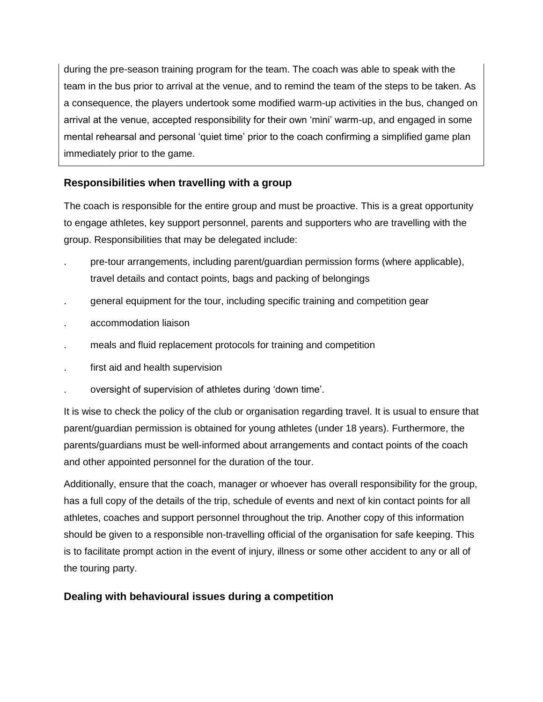during the pre-season training program for the team. The coach was able to speak with the team in the bus prior to arrival at the venue, and to remind the team of the steps to be taken. As a consequence, the players undertook some modified warm-up activities in the bus, changed on arrival at the venue, accepted responsibility for their own 'mini' warm-up, and engaged in some mental rehearsal and personal 'quiet time' prior to the coach confirming a simplified game plan immediately prior to the game.

## **Responsibilities when travelling with a group**

The coach is responsible for the entire group and must be proactive. This is a great opportunity to engage athletes, key support personnel, parents and supporters who are travelling with the group. Responsibilities that may be delegated include:

- . pre-tour arrangements, including parent/guardian permission forms (where applicable), travel details and contact points, bags and packing of belongings
- . general equipment for the tour, including specific training and competition gear
- . accommodation liaison
- . meals and fluid replacement protocols for training and competition
- first aid and health supervision
- . oversight of supervision of athletes during 'down time'.

It is wise to check the policy of the club or organisation regarding travel. It is usual to ensure that parent/guardian permission is obtained for young athletes (under 18 years). Furthermore, the parents/guardians must be well-informed about arrangements and contact points of the coach and other appointed personnel for the duration of the tour.

Additionally, ensure that the coach, manager or whoever has overall responsibility for the group, has a full copy of the details of the trip, schedule of events and next of kin contact points for all athletes, coaches and support personnel throughout the trip. Another copy of this information should be given to a responsible non-travelling official of the organisation for safe keeping. This is to facilitate prompt action in the event of injury, illness or some other accident to any or all of the touring party.

## **Dealing with behavioural issues during a competition**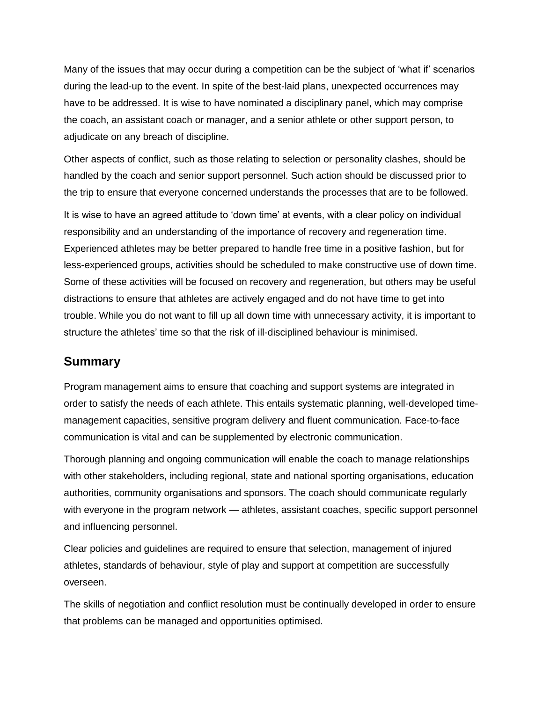Many of the issues that may occur during a competition can be the subject of 'what if' scenarios during the lead-up to the event. In spite of the best-laid plans, unexpected occurrences may have to be addressed. It is wise to have nominated a disciplinary panel, which may comprise the coach, an assistant coach or manager, and a senior athlete or other support person, to adjudicate on any breach of discipline.

Other aspects of conflict, such as those relating to selection or personality clashes, should be handled by the coach and senior support personnel. Such action should be discussed prior to the trip to ensure that everyone concerned understands the processes that are to be followed.

It is wise to have an agreed attitude to 'down time' at events, with a clear policy on individual responsibility and an understanding of the importance of recovery and regeneration time. Experienced athletes may be better prepared to handle free time in a positive fashion, but for less-experienced groups, activities should be scheduled to make constructive use of down time. Some of these activities will be focused on recovery and regeneration, but others may be useful distractions to ensure that athletes are actively engaged and do not have time to get into trouble. While you do not want to fill up all down time with unnecessary activity, it is important to structure the athletes' time so that the risk of ill-disciplined behaviour is minimised.

## **Summary**

Program management aims to ensure that coaching and support systems are integrated in order to satisfy the needs of each athlete. This entails systematic planning, well-developed timemanagement capacities, sensitive program delivery and fluent communication. Face-to-face communication is vital and can be supplemented by electronic communication.

Thorough planning and ongoing communication will enable the coach to manage relationships with other stakeholders, including regional, state and national sporting organisations, education authorities, community organisations and sponsors. The coach should communicate regularly with everyone in the program network — athletes, assistant coaches, specific support personnel and influencing personnel.

Clear policies and guidelines are required to ensure that selection, management of injured athletes, standards of behaviour, style of play and support at competition are successfully overseen.

The skills of negotiation and conflict resolution must be continually developed in order to ensure that problems can be managed and opportunities optimised.